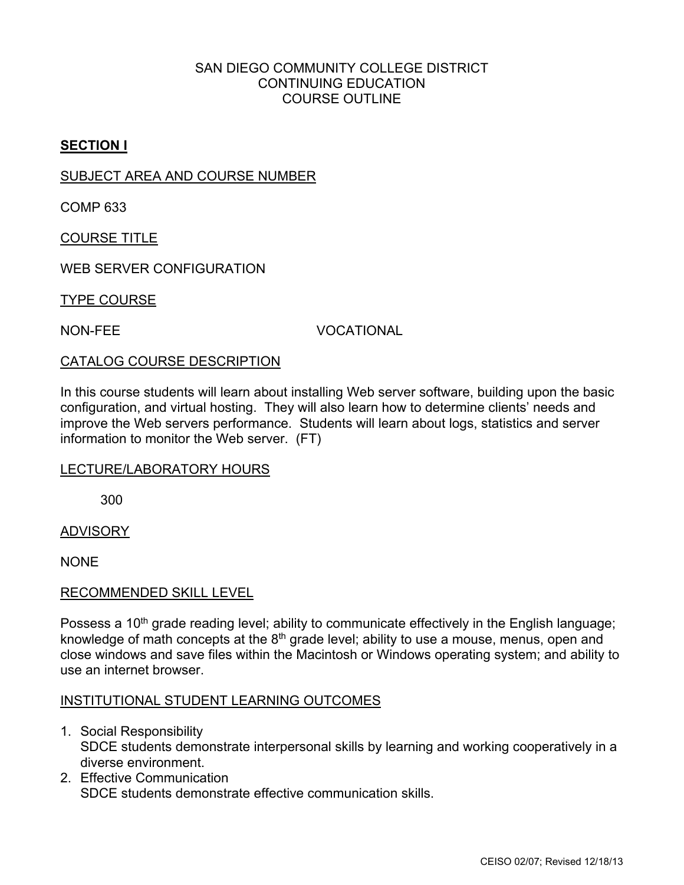# SAN DIEGO COMMUNITY COLLEGE DISTRICT CONTINUING EDUCATION COURSE OUTLINE

# **SECTION I**

## SUBJECT AREA AND COURSE NUMBER

COMP 633

COURSE TITLE

WEB SERVER CONFIGURATION

TYPE COURSE

NON-FEE VOCATIONAL

### CATALOG COURSE DESCRIPTION

In this course students will learn about installing Web server software, building upon the basic configuration, and virtual hosting. They will also learn how to determine clients' needs and improve the Web servers performance. Students will learn about logs, statistics and server information to monitor the Web server. (FT)

### LECTURE/LABORATORY HOURS

300

ADVISORY

**NONE** 

### RECOMMENDED SKILL LEVEL

Possess a 10<sup>th</sup> grade reading level; ability to communicate effectively in the English language; knowledge of math concepts at the  $8<sup>th</sup>$  grade level; ability to use a mouse, menus, open and close windows and save files within the Macintosh or Windows operating system; and ability to use an internet browser.

### INSTITUTIONAL STUDENT LEARNING OUTCOMES

- 1. Social Responsibility SDCE students demonstrate interpersonal skills by learning and working cooperatively in a diverse environment.
- 2. Effective Communication SDCE students demonstrate effective communication skills.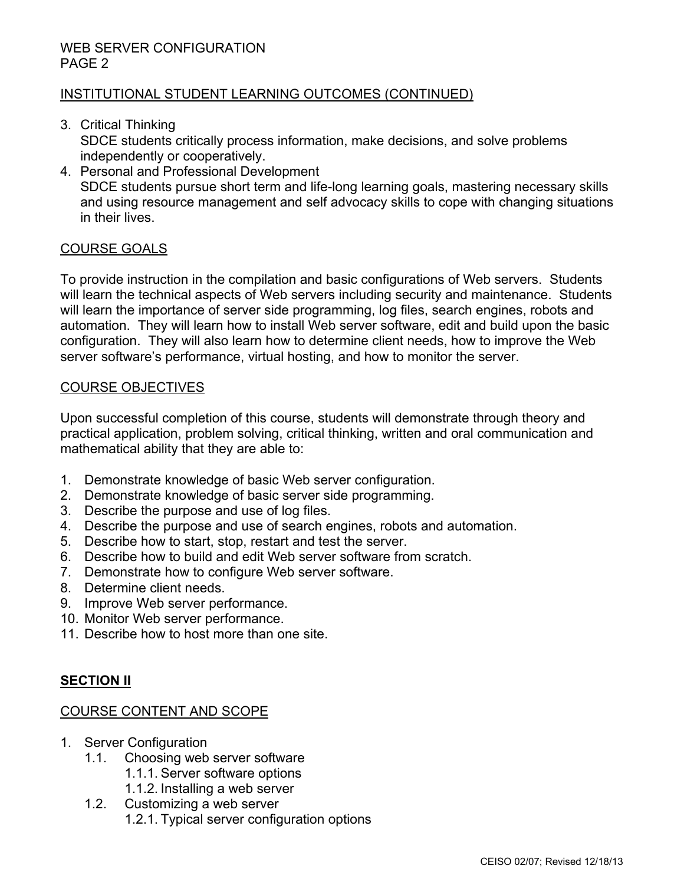# INSTITUTIONAL STUDENT LEARNING OUTCOMES (CONTINUED)

- 3. Critical Thinking SDCE students critically process information, make decisions, and solve problems independently or cooperatively.
- 4. Personal and Professional Development SDCE students pursue short term and life-long learning goals, mastering necessary skills and using resource management and self advocacy skills to cope with changing situations in their lives.

# COURSE GOALS

To provide instruction in the compilation and basic configurations of Web servers. Students will learn the technical aspects of Web servers including security and maintenance. Students will learn the importance of server side programming, log files, search engines, robots and automation. They will learn how to install Web server software, edit and build upon the basic configuration. They will also learn how to determine client needs, how to improve the Web server software's performance, virtual hosting, and how to monitor the server.

### COURSE OBJECTIVES

Upon successful completion of this course, students will demonstrate through theory and practical application, problem solving, critical thinking, written and oral communication and mathematical ability that they are able to:

- 1. Demonstrate knowledge of basic Web server configuration.
- 2. Demonstrate knowledge of basic server side programming.
- 3. Describe the purpose and use of log files.
- 4. Describe the purpose and use of search engines, robots and automation.
- 5. Describe how to start, stop, restart and test the server.
- 6. Describe how to build and edit Web server software from scratch.
- 7. Demonstrate how to configure Web server software.
- 8. Determine client needs.
- 9. Improve Web server performance.
- 10. Monitor Web server performance.
- 11. Describe how to host more than one site.

## **SECTION II**

### COURSE CONTENT AND SCOPE

- 1. Server Configuration
	- 1.1. Choosing web server software
		- 1.1.1. Server software options
		- 1.1.2. Installing a web server
	- 1.2. Customizing a web server 1.2.1. Typical server configuration options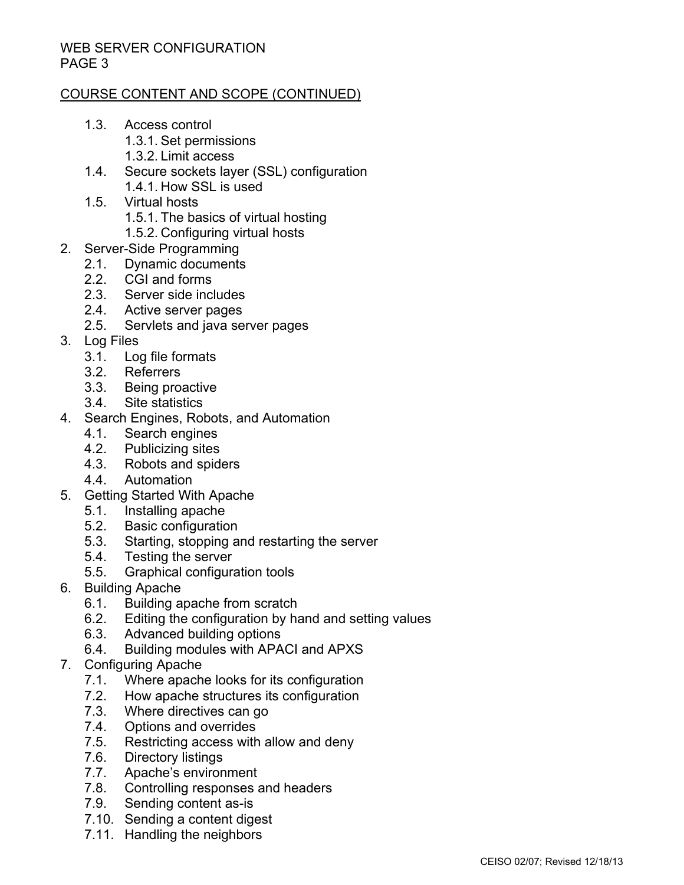# COURSE CONTENT AND SCOPE (CONTINUED)

- 1.3. Access control 1.3.1. Set permissions
	- 1.3.2. Limit access
- 1.4. Secure sockets layer (SSL) configuration 1.4.1. How SSL is used
- 1.5. Virtual hosts
	- 1.5.1. The basics of virtual hosting
	- 1.5.2. Configuring virtual hosts
- 2. Server-Side Programming
	- 2.1. Dynamic documents
	- 2.2. CGI and forms
	- 2.3. Server side includes
	- 2.4. Active server pages
	- 2.5. Servlets and java server pages
- 3. Log Files
	- 3.1. Log file formats
	- 3.2. Referrers
	- 3.3. Being proactive
	- 3.4. Site statistics
- 4. Search Engines, Robots, and Automation
	- 4.1. Search engines
	- 4.2. Publicizing sites
	- 4.3. Robots and spiders
	- 4.4. Automation
- 5. Getting Started With Apache
	- 5.1. Installing apache
	- 5.2. Basic configuration
	- 5.3. Starting, stopping and restarting the server
	- 5.4. Testing the server
	- 5.5. Graphical configuration tools
- 6. Building Apache
	- 6.1. Building apache from scratch
	- 6.2. Editing the configuration by hand and setting values
	- 6.3. Advanced building options
	- 6.4. Building modules with APACI and APXS
- 7. Configuring Apache
	- 7.1. Where apache looks for its configuration<br>7.2. How apache structures its configuration
	- 7.2. How apache structures its configuration<br>7.3. Where directives can go
	- Where directives can go
	- 7.4. Options and overrides<br>7.5. Restricting access with
	- Restricting access with allow and deny
	- 7.6. Directory listings
	- 7.7. Apache's environment
	- 7.8. Controlling responses and headers
	- 7.9. Sending content as-is
	- 7.10. Sending a content digest
	- 7.11. Handling the neighbors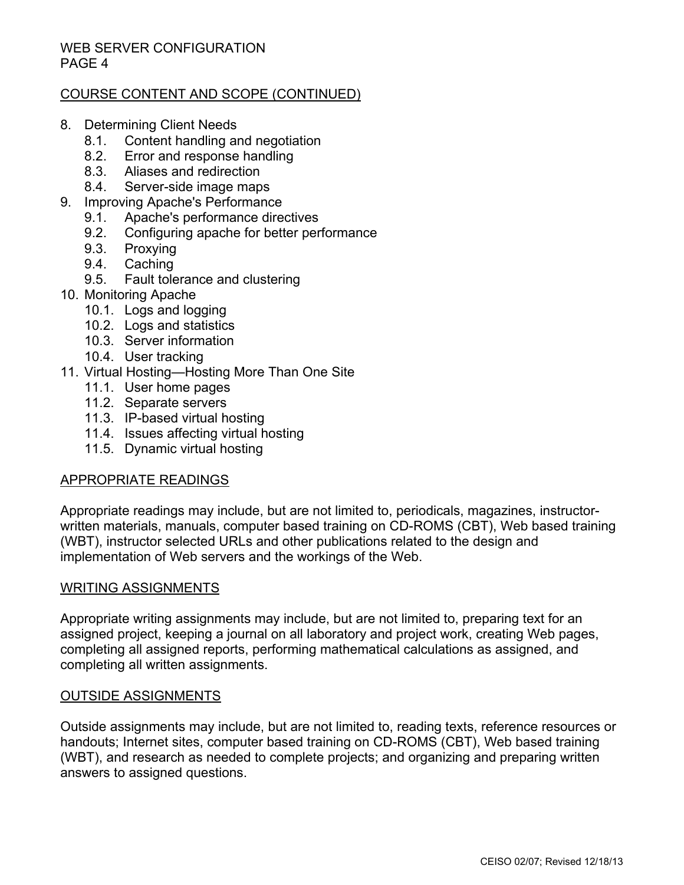# COURSE CONTENT AND SCOPE (CONTINUED)

- 8. Determining Client Needs
	- 8.1. Content handling and negotiation
	- 8.2. Error and response handling
	- 8.3. Aliases and redirection
	- 8.4. Server-side image maps
- 9. Improving Apache's Performance
	- 9.1. Apache's performance directives
	- 9.2. Configuring apache for better performance
	- 9.3. Proxying
	- 9.4. Caching
	- 9.5. Fault tolerance and clustering
- 10. Monitoring Apache
	- 10.1. Logs and logging
	- 10.2. Logs and statistics
	- 10.3. Server information
	- 10.4. User tracking
- 11. Virtual Hosting—Hosting More Than One Site
	- 11.1. User home pages
	- 11.2. Separate servers
	- 11.3. IP-based virtual hosting
	- 11.4. Issues affecting virtual hosting
	- 11.5. Dynamic virtual hosting

### APPROPRIATE READINGS

Appropriate readings may include, but are not limited to, periodicals, magazines, instructorwritten materials, manuals, computer based training on CD-ROMS (CBT), Web based training (WBT), instructor selected URLs and other publications related to the design and implementation of Web servers and the workings of the Web.

### WRITING ASSIGNMENTS

Appropriate writing assignments may include, but are not limited to, preparing text for an assigned project, keeping a journal on all laboratory and project work, creating Web pages, completing all assigned reports, performing mathematical calculations as assigned, and completing all written assignments.

### OUTSIDE ASSIGNMENTS

Outside assignments may include, but are not limited to, reading texts, reference resources or handouts; Internet sites, computer based training on CD-ROMS (CBT), Web based training (WBT), and research as needed to complete projects; and organizing and preparing written answers to assigned questions.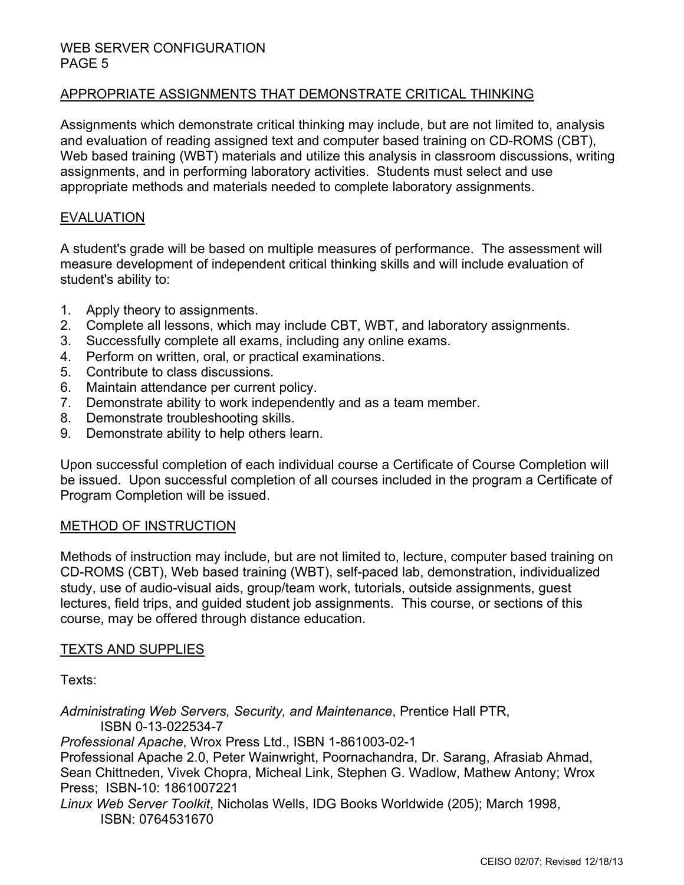# APPROPRIATE ASSIGNMENTS THAT DEMONSTRATE CRITICAL THINKING

Assignments which demonstrate critical thinking may include, but are not limited to, analysis and evaluation of reading assigned text and computer based training on CD-ROMS (CBT), Web based training (WBT) materials and utilize this analysis in classroom discussions, writing assignments, and in performing laboratory activities. Students must select and use appropriate methods and materials needed to complete laboratory assignments.

### EVALUATION

A student's grade will be based on multiple measures of performance. The assessment will measure development of independent critical thinking skills and will include evaluation of student's ability to:

- 1. Apply theory to assignments.
- 2. Complete all lessons, which may include CBT, WBT, and laboratory assignments.
- 3. Successfully complete all exams, including any online exams.
- 4. Perform on written, oral, or practical examinations.
- 5. Contribute to class discussions.
- 6. Maintain attendance per current policy.
- 7. Demonstrate ability to work independently and as a team member.
- 8. Demonstrate troubleshooting skills.
- 9. Demonstrate ability to help others learn.

Upon successful completion of each individual course a Certificate of Course Completion will be issued. Upon successful completion of all courses included in the program a Certificate of Program Completion will be issued.

## METHOD OF INSTRUCTION

Methods of instruction may include, but are not limited to, lecture, computer based training on CD-ROMS (CBT), Web based training (WBT), self-paced lab, demonstration, individualized study, use of audio-visual aids, group/team work, tutorials, outside assignments, guest lectures, field trips, and guided student job assignments. This course, or sections of this course, may be offered through distance education.

### TEXTS AND SUPPLIES

Texts:

*Administrating Web Servers, Security, and Maintenance*, Prentice Hall PTR, ISBN 0-13-022534-7

*Professional Apache*, Wrox Press Ltd., ISBN 1-861003-02-1

Professional Apache 2.0, Peter Wainwright, Poornachandra, Dr. Sarang, Afrasiab Ahmad, Sean Chittneden, Vivek Chopra, Micheal Link, Stephen G. Wadlow, Mathew Antony; Wrox Press; ISBN-10: 1861007221

*Linux Web Server Toolkit*, Nicholas Wells, IDG Books Worldwide (205); March 1998, ISBN: 0764531670